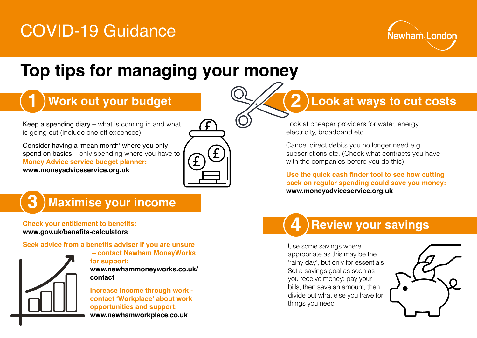# COVID-19 Guidance



## **Top tips for managing your money**

### **Work out your budget**

Keep a spending diary – what is coming in and what is going out (include one off expenses)

Consider having a 'mean month' where you only spend on basics – only spending where you have to **Money Advice service budget planner: www.moneyadviceservice.org.uk**



#### **Maximise your income 3**

**Check your entitlement to benefits: www.gov.uk/benefits-calculators**

#### **Seek advice from a benefits adviser if you are unsure**



**1**

 **– contact Newham MoneyWorks for support: www.newhammoneyworks.co.uk/ contact**

**Increase income through work contact 'Workplace' about work opportunities and support: www.newhamworkplace.co.uk**

### **Look at ways to cut costs**

Look at cheaper providers for water, energy, electricity, broadband etc.

**2**

Cancel direct debits you no longer need e.g. subscriptions etc. (Check what contracts you have with the companies before you do this)

**Use the quick cash finder tool to see how cutting back on regular spending could save you money: www.moneyadviceservice.org.uk**

### **Review your savings 4**

Use some savings where appropriate as this may be the 'rainy day', but only for essentials Set a savings goal as soon as you receive money: pay your bills, then save an amount, then divide out what else you have for things you need